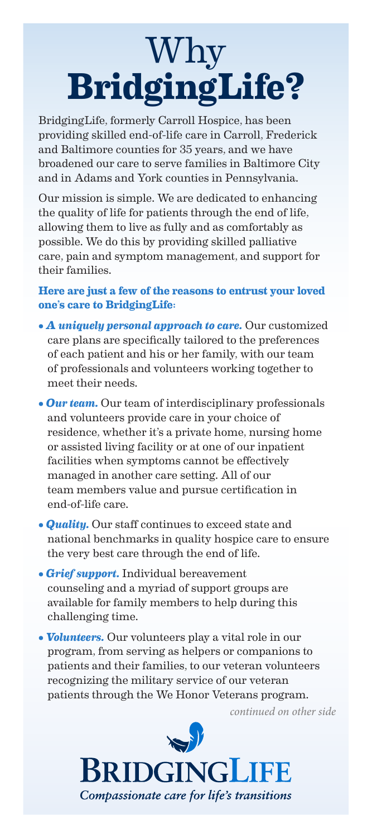# Why **BridgingLife?**

BridgingLife, formerly Carroll Hospice, has been providing skilled end-of-life care in Carroll, Frederick and Baltimore counties for 35 years, and we have broadened our care to serve families in Baltimore City and in Adams and York counties in Pennsylvania.

Our mission is simple. We are dedicated to enhancing the quality of life for patients through the end of life, allowing them to live as fully and as comfortably as possible. We do this by providing skilled palliative care, pain and symptom management, and support for their families.

### **Here are just a few of the reasons to entrust your loved one's care to BridgingLife:**

- *A uniquely personal approach to care.* Our customized care plans are specifically tailored to the preferences of each patient and his or her family, with our team of professionals and volunteers working together to meet their needs.
- *Our team.* Our team of interdisciplinary professionals and volunteers provide care in your choice of residence, whether it's a private home, nursing home or assisted living facility or at one of our inpatient facilities when symptoms cannot be effectively managed in another care setting. All of our team members value and pursue certification in end-of-life care.
- *Quality.* Our staff continues to exceed state and national benchmarks in quality hospice care to ensure the very best care through the end of life.
- *Grief support.* Individual bereavement counseling and a myriad of support groups are available for family members to help during this challenging time.
- *Volunteers.* Our volunteers play a vital role in our program, from serving as helpers or companions to patients and their families, to our veteran volunteers recognizing the military service of our veteran patients through the We Honor Veterans program.

*continued on other side*